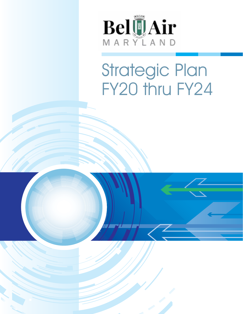

# Strategic Plan FY20 thru FY24

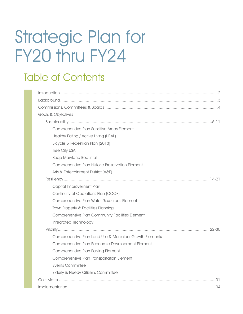# Strategic Plan for FY20 thru FY24

# Table of Contents

| Goals & Objectives                                      |
|---------------------------------------------------------|
|                                                         |
| Comprehensive Plan Sensitive Areas Element              |
| Healthy Eating / Active Living (HEAL)                   |
| Bicycle & Pedestrian Plan (2013)                        |
| Tree City USA                                           |
| Keep Maryland Beautiful                                 |
| Comprehensive Plan Historic Preservation Element        |
| Arts & Entertainment District (A&E)                     |
|                                                         |
| Capital Improvement Plan                                |
| Continuity of Operations Plan (COOP)                    |
| Comprehensive Plan Water Resources Element              |
| Town Property & Facilities Planning                     |
| Comprehensive Plan Community Facilities Element         |
| Integrated Technology                                   |
|                                                         |
| Comprehensive Plan Land Use & Municipal Growth Elements |
| Comprehensive Plan Economic Development Element         |
| Comprehensive Plan Parking Element                      |
| Comprehensive Plan Transportation Element               |
| <b>Events Committee</b>                                 |
| Elderly & Needy Citizens Committee                      |
|                                                         |
|                                                         |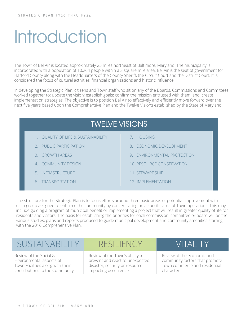# **Introduction**

The Town of Bel Air is located approximately 25 miles northeast of Baltimore, Maryland. The municipality is incorporated with a population of 10,264 people within a 3 square mile area. Bel Air is the seat of government for Harford County along with the Headquarters of the County Sheriff, the Circuit Court and the District Court. It is considered the focus of cultural activities, financial organizations and historic influence.

In developing the Strategic Plan, citizens and Town staff who sit on any of the Boards, Commissions and Committees worked together to: update the vision; establish goals; confirm the mission entrusted with them; and, create implementation strategies. The objective is to position Bel Air to effectively and efficiently move forward over the next five years based upon the Comprehensive Plan and the Twelve Visions established by the State of Maryland.



The structure for the Strategic Plan is to focus efforts around three basic areas of potential improvement with each group assigned to enhance the community by concentrating on a specific area of Town operations. This may include guiding a program of municipal benefit or implementing a project that will result in greater quality of life for residents and visitors. The basis for establishing the priorities for each commission, committee or board will be the various studies, plans and reports produced to guide municipal development and community amenities starting with the 2016 Comprehensive Plan.

# Sustainability SUSTAINABILITY RESILIENCY VITALITY

Review of the Social & Environmental aspects of Town Facilities along with their contributions to the Community

Review of the Town's ability to prevent and react to unexpected disaster, security or resource impacting occurrence

**RESILIENCY** 

# VITALITY

Review of the economic and community factors that promote Town commerce and residential character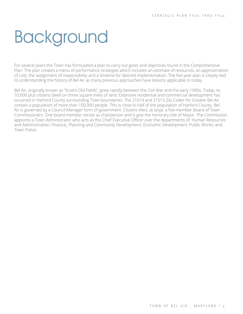# <span id="page-3-0"></span>**Background**

For several years the Town has formulated a plan to carry out goals and objectives found in the Comprehensive Plan. The plan creates a menu of performance strategies which includes an estimate of resources, an approximation of cost, the assignment of responsibility and a timeline for desired implementation. The five year plan is closely tied to understanding the history of Bel Air as many previous approaches have lessons applicable to today.

Bel Air, originally known as "Scott's Old Fields", grew rapidly between the Civil War and the early 1900s. Today, its 10,000 plus citizens dwell on three square miles of land. Extensive residential and commercial development has occurred in Harford County surrounding Town boundaries. The 21014 and 21015 Zip Codes for Greater Bel Air contain a population of more than 100,000 people. This is close to half of the population of Harford County. Bel Air is governed by a Council-Manager form of government. Citizens elect, at large, a five-member Board of Town Commissioners. One board member serves as chairperson and is give the honorary title of Mayor. The Commission appoints a Town Administrator who acts as the Chief Executive Officer over the departments of: Human Resources and Administration, Finance;, Planning and Community Development; Economic Development; Public Works; and, Town Police.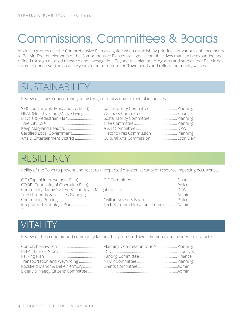# <span id="page-4-0"></span>Commissions, Committees & Boards

All citizen groups use the Comprehensive Plan as a guide when establishing priorities for various enhancements to Bel Air. The ten elements of the Comprehensive Plan contain goals and objectives that can be expanded and refined through detailed research and investigation. Beyond this plan are programs and studies that Bel Air has commissioned over the past few years to better determine Town needs and reflect community wishes.

# **SUSTAINABILITY**

Review of issues concentrating on historic, cultural & environmental influences

| SMC (Sustainable Maryland Certified) Sustainability CommitteePlanning |  |
|-----------------------------------------------------------------------|--|
|                                                                       |  |
|                                                                       |  |
|                                                                       |  |
|                                                                       |  |
| Certified Local GovernmentHistoric Pres CommissionPlanning            |  |
|                                                                       |  |

# RESILIENCY

Ability of the Town to prevent and react to unexpected disaster, security or resource impacting occurrences

| Integrated Technology Plan Tech & Comm Unications Comm Admin |  |
|--------------------------------------------------------------|--|
|                                                              |  |

# VITALITY

Review of the economic and community factors that promote Town commerce and residential character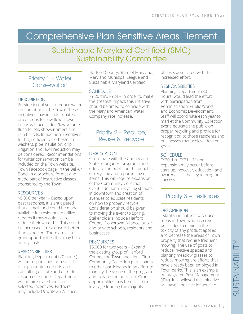# Comprehensive Plan Sensitive Areas Element

# Sustainable Maryland Certified (SMC) Sustainability Committee

### Priority 1 – Water **Conservation**

#### **DESCRIPTION**

Provide incentives to reduce water consumption in the Town. These incentives may include rebates or coupons for low flow shower heads & faucets, dual/low volume flush toilets, shower timers and rain barrels. In addition, incentives for high efficiency clothes/dish washers, pipe insulation, drip irrigation and lawn reduction may be considered. Recommendations for water conservation can be included on the Town website, Town Facebook page, in the Bel Air Bond, in a brochure format and made part of instructive classes sponsored by the Town.

#### RESOURCES

\$5,000 per year – Based upon past response, it is anticipated that a small fund could be made available for residents to utilize rebates if they would like to reduce their water bill. This could be increased if response is better than expected. There are also grant opportunities that may help defray costs.

#### RESPONSIBILITIES

Planning Department (20 hours) will be responsible for research of appropriate methods and consulting of state and other local resources. Finance Department will administrate funds for selected incentives. Partners may include Downtown Alliance,

Harford County, State of Maryland, Maryland Municipal League and Sustainable Maryland Certified.

#### **SCHEDULE**

FY 20 thru FY24 – In order to make the greatest impact, this initiative should be timed to coincide with the Maryland American Water Company rate increase.

### Priority 2 – Reduce, Reuse & Recycle

#### **DESCRIPTION**

Coordinate with the County and State to organize programs and educate the public on the benefits of recycling and repurposing of items. This will require expansion of the Community Collection event, additional recycling stations in downtown and creation of avenues to educate residents on how to properly recycle. Consideration should be given to moving the event to Spring. Stakeholders include Harford County, Downtown Alliance, public and private schools, residents and businesses.

#### **RESOURCES**

\$5,000 for two years – Expand the existing group of Harford County, the Town and Lions Club Community Collection participants to other participants in an effort to magnify the scope of the program and expand the outreach. Grant opportunities may be utilized to leverage funding the majority

of costs associated with the increased effort.

#### **RESPONSIBILITIES**

Planning Department (80 hours) would lead the effort with participation from Administration, Public Works and Economic Development. Staff will coordinate each year to market the Community Collection event, educate the public on proper recycling and provide for recognition to those residents and businesses that achieve desired goals.

#### SCHEDULE:

FY20 thru FY21 – Minor expansion may occur before start-up; however, education and awareness is the key to program success

## Priority 3 – Pesticides

#### **DESCRIPTION**

Establish initiatives to reduce areas in Town which receive pesticides to diminish the toxicity of any product applied and decrease the areas of Town property that require frequent mowing. The use of goats to reduce invasive species and planting meadow grasses to reduce mowing are efforts that have already been employed in Town parks. This is an example of Integrated Pest Management (IPM). It is believed this initiative will have a positive influence on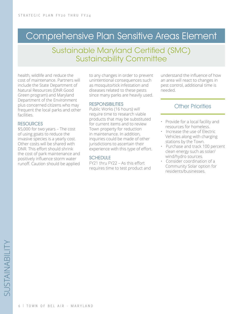# Comprehensive Plan Sensitive Areas Element

## Sustainable Maryland Certified (SMC) Sustainability Committee

health, wildlife and reduce the cost of maintenance. Partners will include the State Department of Natural Resources (DNR Good Green program) and Maryland Department of the Environment plus concerned citizens who may frequent the local parks and other facilities.

#### **RESOURCES**

\$5,000 for two years – The cost of using goats to reduce the invasive species is a yearly cost. Other costs will be shared with DNR. This effort should shrink the cost of park maintenance and positively influence storm water runoff. Caution should be applied

to any changes in order to prevent unintentional consequences such as mosquito/tick infestation and diseases related to these pests since many parks are heavily used.

#### **RESPONSIBILITIES**

Public Works (16 hours) will require time to research viable products that may be substituted for current items and to review Town property for reduction in maintenance. In addition, inquiries could be made of other jurisdictions to ascertain their experience with this type of effort.

#### **SCHEDULE**

FY21 thru FY22 – As this effort requires time to test product and understand the influence of how an area will react to changes in pest control, additional time is needed.

- Provide for a local facility and resources for homeless.
- Increase the use of Electric Vehicles along with charging stations by the Town.
- Purchase and track 100 percent clean energy such as solar/ wind/hydro sources.
- Consider coordination of a Community Solar option for residents/businesses.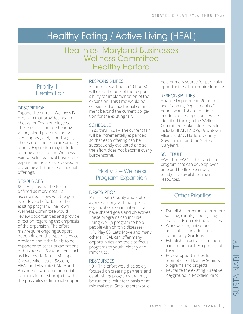# <span id="page-7-0"></span>Healthy Eating / Active Living (HEAL)

# Healthiest Maryland Businesses Wellness Committee Healthy Harford

### Priority 1 – Health Fair

#### **DESCRIPTION**

Expand the current Wellness Fair program that provides health checks for Town employees. These checks include hearing, vision, blood pressure, body fat, sleep apnea, diet, blood sugar, cholesterol and skin care among others. Expansion may include offering access to the Wellness Fair for selected local businesses, expanding the areas reviewed or providing additional educational offerings.

#### **RESOURCES**

\$0 – Any cost will be further defined as more detail is ascertained. However, the goal is to dovetail efforts into the existing program. The Town Wellness Committee would review opportunities and provide direction regarding the emphasis of the expansion. The effort may require ongoing support depending on the type of service provided and if the fair is to be expanded to other organizations or businesses. Stakeholders such as Healthy Harford, UM-Upper Chesapeake Health System, HEAL and Healthiest Maryland Businesses would be potential partners for most projects with the possibility of financial support.

#### RESPONSIBILITIES

Finance Department (40 hours) will carry the bulk of the responsibility for implementation of the expansion. This time would be considered an additional commitment beyond the current obligation for the existing fair.

#### **SCHEDULE**

FY20 thru FY24 – The current fair will be incrementally expanded so that each offering can be subsequently evaluated and so the effort does not become overly burdensome.

### Priority 2 – Wellness Program Expansion

#### **DESCRIPTION**

Partner with County and State agencies along with non-profit organizations on initiatives that have shared goals and objectives. These programs can include Living Well (a program to help people with chronic diseases), NFL Play 60, Let's Move and many others. HEAL can offer many opportunities and tools to focus programs to youth, elderly and minorities.

#### RESOURCES

\$0 – This effort would be solely focused on creating partners and establishing programs that may be run on a volunteer basis or at minimal cost. Small grants would

be a primary source for particular opportunities that require funding.

#### **RESPONSIBILITIES**

Finance Department (20 hours) and Planning Department (20 hours) would share the time needed, once opportunities are identified through the Wellness Committee. Stakeholders would include HEAL, LASOS, Downtown Alliance, SMC, Harford County Government and the State of Maryland.

#### **SCHEDULE**

FY20 thru FY24 – This can be a program that can develop over time and be flexible enough to adjust to available time or resources.

- Establish a program to promote walking, running and cycling that builds on existing facilities.
- Work with organizations on establishing additional Community Gardens
- Establish an active recreation park in the northern portion of Town.
- Review opportunities for promotion of Healthy Seniors programs and projects
- Revitalize the existing .Creative Playground in Rockfield Park.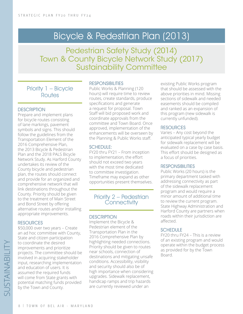# Bicycle & Pedestrian Plan (2013)

Pedestrian Safety Study (2014) Town & County Bicycle Network Study (2017) Sustainability Committee

### Priority 1 – Bicycle **Routes**

#### **DESCRIPTION**

Prepare and implement plans for bicycle routes consisting of lane markings, pavement symbols and signs. This should follow the guidelines from the Transportation Element of the 2016 Comprehensive Plan, the 2013 Bicycle & Pedestrian Plan and the 2018 PALS Bicycle Network Study. As Harford County undertakes its review of the County bicycle and pedestrian plan, the routes should connect and provide for an organized and comprehensive network that will link destinations throughout the County. Priority should be given to the treatment of Main Street and Bond Street by offering alternative routes and/or installing appropriate improvements.

#### **RESOURCES**

\$50,000 over two years – Create an ad hoc committee with County, State and citizen participation to coordinate the desired improvements and prioritize projects. The committee should be involved in acquiring stakeholder input, researching implementation and education of users. It is assumed the required funds will come from State grants with potential matching funds provided by the Town and County.

#### **RESPONSIBILITIES**

Public Works & Planning (120 hours) will require time to review routes, create standards, produce specifications and generate a request for proposal. Town Staff will bid proposed work and coordinate approvals from the committee and Town Board. Once approved, implementation of the enhancements will be overseen by the Planning & Public Works staff.

#### SCHEDULE:

FY20 thru FY21 – From inception to implementation, the effort should not exceed two years with the most time dedicated to committee investigation. Timeframe may expand as other opportunities present themselves.

Priority 2 – Pedestrian **Connectivity** 

#### **DESCRIPTION**

Implement the Bicycle & Pedestrian element of the Transportation Plan in the 2016 Comprehensive Plan by highlighting needed connections. Priority should be given to routes near schools, connection of destinations and mitigating unsafe conditions. Accessibility, visibility and security should also be of high importance when considering upgrades. Sidewalk replacement, handicap ramps and trip hazards are currently reviewed under an

existing Public Works program that should be assessed with the above priorities in mind. Missing sections of sidewalk and needed easements should be compiled and ranked as an expansion of this program (new sidewalk is currently unfunded).

#### RESOURCES

Varies – Any cost beyond the anticipated typical yearly budget for sidewalk replacement will be evaluated on a case by case basis. This effort should be designed as a focus of priorities.

#### RESPONSIBILITIES

Public Works (20 hours) is the primary department tasked with addressing connectivity as part of the sidewalk replacement program and would require a minor amount of additional time to review the current program. State Highway Administration and Harford County are partners when roads within their jurisdiction are affected.

#### SCHEDULE

FY20 thru FY24 – This is a review of an existing program and would operate within the budget process as provided for by the Town Board.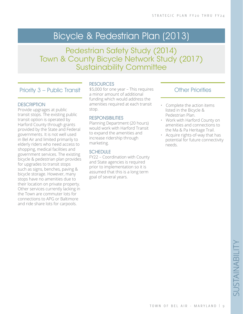# Bicycle & Pedestrian Plan (2013)

Pedestrian Safety Study (2014) Town & County Bicycle Network Study (2017) Sustainability Committee

### Priority 3 – Public Transit

#### **DESCRIPTION**

Provide upgrages at public transit stops. The existing public transit option is operated by Harford County through grants provided by the State and Federal governments. It is not well used in Bel Air and limited primarily to elderly riders who need access to shopping, medical facilities and government services. The existing bicycle & pedestrian plan provides for upgrades to transit stops such as signs, benches, paving & bicycle storage. However, many stops have no amenities due to their location on private property. Other services currently lacking in the Town are commuter lots for connections to APG or Baltimore and ride share lots for carpools.

#### RESOURCES

\$5,000 for one year – This requires a minor amount of additional funding which would address the amenities required at each transit stop.

#### **RESPONSIBILITIES**

Planning Department (20 hours) would work with Harford Transit to expand the amenities and increase ridership through marketing.

#### **SCHEDULE**

FY22 – Coordination with County and State agencies is required prior to implementation so it is assumed that this is a long term goal of several years.

- Complete the action items listed in the Bicycle & Pedestrian Plan.
- Work with Harford County on amenities and connections to the Ma & Pa Heritage Trail.
- Acquire rights-of-way that has potential for future connectivity needs.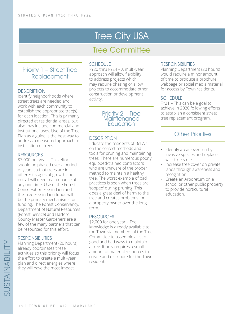# **Tree City USA**

# Tree Committee

### Priority 1 – Street Tree Replacement

#### **DESCRIPTION**

Identify neighborhoods where street trees are needed and work with each community to establish the appropriate tree(s) for each location. This is primarily directed at residential areas, but also may include commercial and institutional uses. Use of the Tree Plan as a guide is the best way to address a measured approach to installation of trees.

#### **RESOURCES**

\$3,000 per year – This effort should be phased over a period of years so that trees are in different stages of growth and not all will need maintenance at any one time. Use of the Forest Conservation Fee-in-Lieu and the Tree Fee-in-Lieu funds will be the primary mechanisms for funding. The Forest Conservancy, Department of Natural Resources (Forest Service) and Harford County Master Gardeners are a few of the many partners that can be resourced for this effort.

#### **RESPONSIBILITIES**

Planning Department (20 hours) already coordinates these activities so this priority will focus the effort to create a multi-year plan and direct energies where they will have the most impact.

#### **SCHEDULE**

FY20 thru FY24 – A multi-year approach will allow flexibility to address projects which may require phasing or allow projects to accommodate other construction or development activity.

#### Priority 2 – Tree **Maintenance** *<u>Education</u>*

#### **DESCRIPTION**

Educate the residents of Bel Air on the correct methods and tools for pruning and maintaining trees. There are numerous poorly equipped/trained contractors who are unaware of the proper method to maintain a healthy tree. The worst example of bad practices is seen when trees are 'topped' during pruning. This does a great deal of harm to the tree and creates problems for a property owner over the long term.

#### RESOURCES

\$2,000 for one year – The knowledge is already available to the Town via members of the Tree Committee to assemble a list of good and bad ways to maintain a tree. It only requires a small amount of material resources to create and distribute for the Town residents.

#### RESPONSIBILITIES

Planning Department (20 hours) would require a minor amount of time to produce a brochure, webpage or social media material for access by Town residents.

#### **SCHEDULE**

FY21 – This can be a goal to achieve in 2020 following efforts to establish a consistent street tree replacement program.

- Identify areas over run by invasive species and replace with tree stock.
- Increase tree cover on private lands through awareness and recognition.
- Create an Arboretum on a school or other public property to provide horticultural education.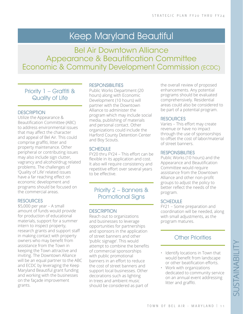# Keep Maryland Beautiful

Bel Air Downtown Alliance Appearance & Beautification Committee Economic & Community Development Commission (ECDC)

### Priority 1 – Graffiti & Quality of Life

#### **DESCRIPTION**

Utilize the Appearance & Beautification Committee (ABC) to address environmental issues that may affect the character and appeal of Bel Air. This could comprise graffiti, litter and property maintenance. Other peripheral or contributing issues may also include sign clutter, vagrancy and alcohol/drug related problems. The challenges of 'Quality of Life' related issues have a far reaching effect on economic development and programs should be focused on the commercial areas.

#### **RESOURCES**

\$5,000 per year – A small amount of funds would provide for production of educational materials, support for a summer intern to inspect property, research grants and support staff in making contact with property owners who may benefit from assistance from the Town in keeping the Town attractive and inviting. The Downtown Alliance will be an equal partner to the ABC and ECDC by leveraging the Keep Maryland Beautiful grant funding and working with the businesses on the façade improvement grants.

#### **RESPONSIBILITIES**

Public Works Department (20 hours) along with Economic Development (10 hours) will partner with the Downtown Alliance to administer the program which may include social media, publishing of materials and personal contact. Other organizations could include the Harford County Detention Center and Boy Scouts.

#### **SCHEDULE**

FY20 thru FY24 – This effort can be flexible in its application and cost. It also will require consistency and repetitive effort over several years to be effective.

### Priority 2 – Banners & Promotional Signs

#### **DESCRIPTION**

Reach out to organizations and businesses to leverage opportunities for partnerships and sponsors in the application of street banners and other 'public signage'. This would attempt to combine the benefits of commercial sponsorships with public promotional banners in an effort to reduce the cost of street banners and support local businesses. Other decorations such as lighting in trees and ambient music should be considered as part of

the overall review of proposed enhancements. Any potential programs should be evaluated comprehensively. Residential areas could also be considered to be part of a potential program.

#### RESOURCES

Varies – This effort may create revenue or have no impact through the use of sponsorships to offset the cost of labor/material of street banners.

#### **RESPONSIBILITIES**

Public Works (10 hours) and the Appearance and Beautification Committee would require assistance from the Downtown Alliance and other non-profit groups to adjust the policy to better reflect the needs of the program.

#### SCHEDULE

FY21 – Some preparation and coordination will be needed, along with small adjustments, as the program matures.

- Identify locations in Town that would benefit from landscape or other beatification efforts.
- Work with organizations
- dedicated to community service on an annual event addressing litter and graffiti.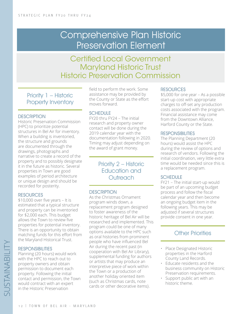# Comprehensive Plan Historic Preservation Element

# Certified Local Government Maryland Historic Trust Historic Preservation Commission

Priority 1 – Historic Property Inventory

#### **DESCRIPTION**

Historic Preservation Commission (HPC) to prioritize potential structures in Bel Air for inventory. When a building is inventoried, the structure and grounds are documented through the drawings, photographs and narrative to create a record of the property and to possibly designate it in the future as historic. Several properties in Town are good examples of period architecture or unique design and should be recorded for posterity.

#### **RESOURCES**

\$10,000 over five years – It is estimated that a typical structure and property can be inventoried for \$2,000 each. This budget allows the Town to review five properties for potential inventory. There is an opportunity to obtain matching funds for this effort from the Maryland Historical Trust.

#### **RESPONSIBILITIES**

Planning (20 hours) would work with the HPC to reach out to property owners and obtain permission to document each property. Following the initial contact and permission, the Town would contract with an expert in the Historic Preservation

field to perform the work. Some assistance may be provided by the County or State as the effort moves forward.

#### SCHEDULE

FY20 thru FY24 – The initial research and property owner contact will be done during the 2019 calendar year with the documentation following in 2020. Timing may adjust depending on the award of grant money.

### Priority 2 – Historic Education and **Outreach**

#### **DESCRIPTION**

As the Christmas Ornament program winds down, a replacement program designed to foster awareness of the historic heritage of Bel Air will be researched and implemented. This program could be one of many options available to the HPC such as oral histories from prominent people who have influenced Bel Air during the recent past (in cooperation with Bel Air Library), supplemental funding for authors or artists that may produce an interpretive piece of work within the Town or a production of another holiday oriented item (such as Christmas cards, note cards or other decorative items}.

#### **RESOURCES**

\$5,000 for one year – As a possible start-up cost with appropriate charges to off-set any production costs associated with the program. Financial assistance may come from the Downtown Alliance, Harford County or the State.

#### **RESPONSIBILITIES**

The Planning Department (20 hours) would assist the HPC during the review of options and research of vendors. Following the initial coordination, very little extra time would be needed since this is a replacement program.

#### **SCHEDULE**

FY21 – The initial start-up would be part of an upcoming budget process and follow the fiscal calendar year and then become an ongoing budget item in the following years. This may be adjusted if several structures provide consent in one year.

- Place Designated Historic properties in the Harford County Land Records.
- Educate residents and the business community on Historic Preservation requirements.
- Support public art with an historic theme.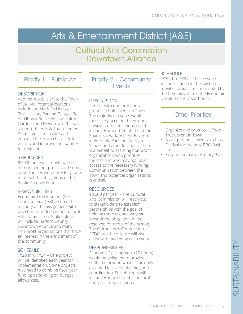# Arts & Entertainment District (A&E)

## Cultural Arts Commission Downtown Alliance

### Priority 1 – Public Art

#### **DESCRIPTION**

Add more public art to the Town of Bel Air. Potential locations include the Ma & Pa Heritage Trail, Hickory Parking Garage, Bel Air Library, Rockfield Horticultural Gardens and Downtown. This will support the Arts & Entertainment District goals to inspire and enhance the Town character for visitors and improve the livability for residents.

#### **RESOURCES**

\$5,000 per year – Costs will be determined per project and some opportunities will qualify for grants to off-set the obligations of the Public Amenity Fund.

#### **RESPONSIBILITIES**

Economic Development (20 hours per year) will assume the majority of the assignment with direction provided by the Cultural Arts Commission. Stakeholders will include Harford County, Downtown Alliance and many non-profit organizations that have an interest in the enrichment of the community.

#### SCHEDUI<sub>F</sub>

FY20 thru FY24 – One project will be identified each year for implementation. Some projects may need to combine fiscal year funding depending on budget allowances.

Priority 2 – Community **Fvents** 

#### **DESCRIPTION**

Partner with non-profit arts groups to hold events in Town. The majority of events would most likely occur in the Armory; however, other locations could include Humbert Amphitheater in Shamrock Park, Schlehr Pavilion in Rockfield Park, Bel Air High School and other locations. There is a benefit to assisting non-profit organizations who prioritize the arts and who may not have access to the necessary funding. Communication between the Town and potential organizations is critical.

#### RESOURCES

\$3,000 per year – The Cultural Arts Commission will reach out to stakeholders to establish partnerships with the goal of holding three events per year. Most of the obligation will be reserved for rental of the Armory. The Cultural Arts Commission, ECDC and the Alliance will also assist with marketing each event.

#### **RESPONSIBILITIES**

Economic Development (20 hours) would be obligated to provide staff time beyond what is currently allocated for event planning and coordination. Stakeholders will include Harford County and local non-profit organizations.

#### SCHEDULE

FY20 thru FY24 – These events will be included in the existing activities which are coordinated by the Commission and the Economic Development Department.

- Organize and promote a Food Truck event in Town.
- Assist perennial events such as Festival for the Arts, BBQ Bash, etc.
- Expand the use of Armory Park.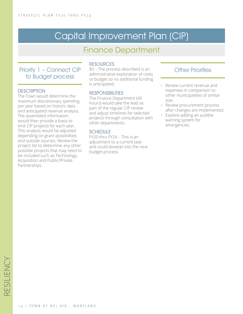# Capital Improvement Plan (CIP)

# Finance Department

### Priority 1 – Connect CIP to Budget process

#### **DESCRIPTION**

The Town would determine the maximum discretionary spending per year based on historic data and anticipated revenue analysis. The assembled information would then provide a basis to limit CIP projects for each year. This analysis would be adjusted depending on grant possibilities and outside sources. Review the project list to determine any other possible projects that may need to be included such as Technology, Acquisition and Public/Private Partnerships.

#### **RESOURCES**

\$0 – The process described is an administrative exploration of costs vs budget so no additional funding is anticipated.

#### **RESPONSIBILITIES**

The Finance Department (40 hours) would take the lead as part of the regular CIP review and adjust timelines for selected projects through consultation with other departments.

#### SCHEDULE

FY20 thru FY24 – This is an adjustment to a current task and could dovetail into the next budget process.

- Review current revenue and expenses in comparison to other municipalities of similar size.
- Review procurement process after changes are implemented.
- Explore adding an audible warning system for emergencies.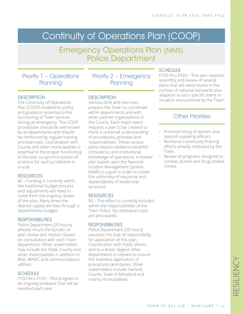# Continuity of Operations Plan (COOP)

## Emergency Operations Plan (NIMS) Police Department

Priority 1 – Operations **Planning** 

#### **DESCRIPTION**

The Continuity of Operations Plan (COOP) establishes policy and guidance essential to the functioning of Town services during an emergency. The COOP procedures should be well known by all departments and should be reinforced by regular training and exercises. Coordination with County and other municipalities is essential to the proper functioning of the plan so synchronization of protocol for each jurisdiction is crucial.

#### RESOURCES

\$0 – Funding is currently within the traditional budget process and adjustments will need to come from the ongoing review of the plan. Many times the desired capital will flow through a departmental budget.

#### **RESPONSIBILITIES**

Police Department (20 hours) already incurs the burden of plan review and revision based on consultation with each Town department. Other stakeholders may include the State, County and other municipalities in addition to BGE, MAWC and communications utilities.

#### SCHEDUI<sub>F</sub>

FY20 thru FY24 – This program is an ongoing endeavor that will be revisited each year.

Priority 2 – Emergency **Planning** 

#### **DESCRIPTION**

Various drills and exercises prepare the Town to coordinate within departments and with other partner organizations in the County. Each major event requires a plan to be created so there is universal understanding of procedures, priorities and responsibilities. These various plans require review to establish consistency and institutional knowledge of operations. A master plan based upon the National Incident Management System (NIMS) is a goal in order to create the uniformity of response and dependability of leadership structure.

#### RESOURCES

\$0 – This effort is currently included within the responsibilities of the Town Police. No additional costs are anticipated.

#### **RESPONSIBILITIES**

Police Department (20 hours) assumes the bulk of responsibility for application of this plan. Coordination with Public Works and to a lesser degree other departments is needed to ensure the seamless application of procedures and duties. Other stakeholders include Harford County, State of Maryland and nearby municipalities.

#### **SCHEDULE**

FY20 thru FY24 – This plan requires assembly and review of several plans that will need review in the context of national standards plus adaption to each specific event or situation encountered by the Town.

- Prioritize hiring of women and Spanish speaking officers.
- Reinforce Community Policing efforts already instituted by the Town.
- Review of programs designed to combat alcohol and drug related crimes.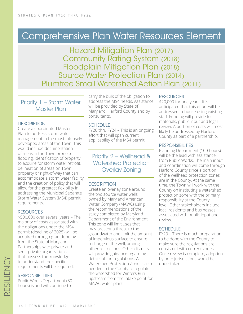# Comprehensive Plan Water Resources Element

Hazard Mitigation Plan (2017) Community Rating System (2018) Floodplain Mitigation Plan (2018) Source Water Protection Plan (2014) Plumtree Small Watershed Action Plan (2011)

Priority 1 – Storm Water Master Plan

#### **DESCRIPTION**

Create a coordinated Master Plan to address storm water management in the most intensely developed areas of the Town. This would include documentation of areas in the Town prone to flooding, identification of property to acquire for storm water retrofit, delineation of areas on Town property or right-of-way that can accommodate a storm water facility and the creation of policy that will allow for the greatest flexibility in addressing the Municipal Separate Storm Water System (MS4) permit requirements.

#### **RESOURCES**

\$500,000 over several years – The majority of costs associated with the obligations under the MS4 permit (deadline of 2025) will be acquired through grant funding from the State of Maryland. Partnerships with private and semi-private organizations that possess the knowledge to understand the specific requirements will be required.

#### RESPONSIBILITIES

Public Works Department (80 hours) is and will continue to

carry the bulk of the obligation to address the MS4 needs. Assistance will be provided by State of Maryland, Harford County and by consultants.

#### **SCHEDULE**

FY20 thru FY24 – This is an ongoing effort that will span current applicability of the MS4 permit.

### Priority 2 – Wellhead & Watershed Protection Overlay Zoning

#### **DESCRIPTION**

Create an overlay zone around the two source water wells owned by Maryland American Water Company (MAWC) using the recommendations of the study completed by Maryland Department of the Environment. This zone will limit uses that may present a threat to the groundwater and limit the amount of impervious surface to ensure recharge of the well, among other restrictions. Other districts will provide guidance regarding details of the regulations. A Watershed Protection Zone is also needed in the County to regulate the watershed for Winters Run upstream from the intake point for MAWC water plant.

#### RESOURCES

\$20,000 for one year – It is anticipated that this effort will be addressed in-house using existing staff. Funding will provide for materials, public input and legal review. A portion of costs will most likely be addressed by Harford County as part of a partnership.

#### **RESPONSIBILITIES**

Planning Department (100 hours) will be the lead with assistance from Public Works. The main input and coordination will come through Harford County since a portion of the wellhead protection zones are in the County. At the same time, the Town will work with the County on instituting a watershed protection zone with the primary responsibility at the County level. Other stakeholders include local residents and businesses associated with public input and review.

#### **SCHEDULE**

FY23 – There is much preparation to be done with the County to make sure the regulations are consistent with current zones. Once review is complete, adoption by both jurisdictions would be undertaken.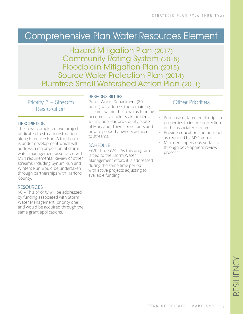# Comprehensive Plan Water Resources Element

Hazard Mitigation Plan (2017) Community Rating System (2018) Floodplain Mitigation Plan (2018) Source Water Protection Plan (2014) Plumtree Small Watershed Action Plan (2011)

Priority 3 – Stream **Restoration** 

#### **DESCRIPTION**

The Town completed two projects dedicated to stream restoration along Plumtree Run. A third project is under development which will address a major portion of storm water management associated with MS4 requirements. Review of other streams including Bynum Run and Winters Run would be undertaken through partnerships with Harford County.

#### **RESOURCES**

\$0 – This priority will be addressed by funding associated with Storm Water Management (priority one) and would be acquired through the same grant applications.

#### **RESPONSIBILITIES**

Public Works Department (80 hours) will address the remaining streams within the Town as funding becomes available. Stakeholders will include Harford County, State of Maryland, Town consultants and private property owners adjacent to streams.

#### **SCHEDULE**

FY20 thru FY24 – As this program is tied to the Storm Water Management effort, it is addressed during the same time period with active projects adjusting to available funding.

- Purchase of targeted floodplain properties to insure protection of the associated stream.
- Provide education and outreach as required by MS4 permit.
- Minimize impervious surfaces through development review process.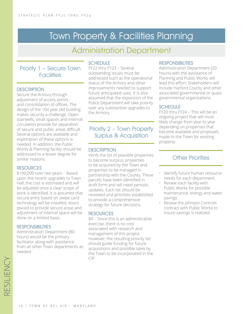# Town Property & Facilities Planning

# Administration Department

### Priority 1 – Secure Town **Facilities**

#### **DESCRIPTION**

Secure the Armory through adjustment of access points and consolidation of offices. The design of the 104 year old building makes security a challenge. Open stairwells, small spaces and internal circulation provide for separation of secure and public areas difficult. Several options are available and exploration of these options is needed. In addition, the Public Works & Planning facility should be addressed to a lesser degree for similar reasons.

#### **RESOURCES**

\$100,000 over two years – Based upon the recent upgrades to Town Hall, the cost is estimated and will be adjusted once a clear scope of work is identified. It is assumed that secure entry based on swipe card technology will be installed, doors placed to provide secure areas and adjustment of internal space will be done on a limited basis.

#### **RESPONSIBILITIES**

Administration Department (80 hours) would be the primary facilitator along with assistance from all other Town departments as needed.

#### **SCHEDULE**

FY22 thru FY23 – Several outstanding issues must be addressed such as the operational status of the Armory and other improvements needed to support future anticipated uses. It is also assumed that the expansion of the Police Department will take priority over any substantive upgrades to the Armory.

### Priority 2 – Town Property Surplus & Acquisition

#### **DESCRIPTION**

Verify the list of possible properties to become surplus, properties to be acquired by the Town and properties to be managed in partnership with the County. These parcels have been identified in draft form and will need periodic updates. Each list should be reviewed and priorities established to provide a comprehensive strategy for future decisions.

#### RESOURCES

\$0 – Since this is an administrative exercise, there is no cost associated with research and management of this project. However, the resulting priority list should guide funding for future acquisitions and possible sales by the Town to be incorporated in the CIP.

#### **RESPONSIBILITIES**

Administration Department (20 hours) with the assistance of Planning and Public Works will lead this effort. Stakeholders will include Harford County and other associated governmental or quasigovernmental organizations.

#### SCHEDUI<sub>F</sub>

FY20 thru FY24 – This will be an ongoing project that will most likely change from year to year depending on properties that become available and proposals made to the Town for existing property.

- Identify future human resource needs for each department.
- Review each facility with Public Works for possible maintenance, energy and water savings.
- Review the Johnson Controls contract with Public Works to insure savings is realized.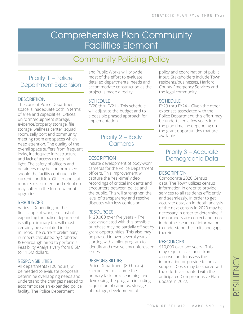# Comprehensive Plan Community Facilities Element

# Community Policing Policy

### Priority 1 – Police Department Expansion

#### **DESCRIPTION**

The current Police Department space is inadequate both in terms of area and capabilities. Offices, uniform/equipment storage, evidence/property storage, file storage, wellness center, squad room, sally port and community meeting room are spaces which need attention. The quality of the overall space suffers from frequent leaks, inadequate infrastructure and lack of access to natural light. The safety of officers and detainees may be compromised should the facility continue in its current condition. Officer and staff morale, recruitment and retention may suffer in the future without upgrades.

#### **RESOURCES**

Varies – Depending on the final scope of work, the cost of expanding the police department is still preliminary but will most certainly be calculated in the millions. The current preliminary numbers calculated by Crabtree & Rohrbaugh hired to perform a Feasibility Analysis vary from 8.5M to 11.5M dollars.

#### **RESPONSIBILITIES**

All departments (120 hours) will be needed to evaluate proposals, determine overlapping needs and understand the changes needed to accommodate an expanded police facility. The Police Department

and Public Works will provide most of the effort to evaluate detailed departmental needs and accommodate construction as the project is made a reality.

#### SCHEDULE

FY20 thru FY21 – This schedule will adjust to the budget and to a possible phased approach for implementation.

#### Priority 2 – Body **Cameras**

#### **DESCRIPTION**

Initiate development of body-worn cameras for the Police Department officers. This improvement will capture the 'real-time' video recordings of critical incidents and encounters between police and the public. This will strengthen the level of transparency and resolve disputes with less confusion.

#### **RESOURCES**

\$120,000 over five years – The cost associated with this possible purchase may be partially off-set by grant opportunities. This also may be phased in over several years starting with a pilot program to identify and resolve any unforeseen issues.

#### RESPONSIBILITIES

Police Department (80 hours) is expected to assume the primary task for researching and developing the program including acquisition of cameras, storage of footage, development of

policy and coordination of public input. Stakeholders include Town residents/businesses, Harford County Emergency Services and the legal community.

#### SCHEDULE

FY23 thru FY24 – Given the other expenses associated with the Police Department, this effort may be undertaken a few years into the plan timeline depending on the grant opportunities that are available.

### Priority 3 – Accurate Demographic Data

#### **DESCRIPTION**

Corroborate 2020 Census data. The Town utilizes census information in order to provide services to all residents efficiently and seamlessly. In order to get accurate data, an in-depth analysis of the next census in 2020 may be necessary in order to determine if the numbers are correct and more in-depth research of information to understand the limits and gaps therein.

#### **RESOURCES**

\$10,000 over two years– This may require assistance from a consultant to assess the information or provide technical support. Costs may be shared with the efforts associated with the anticipated Comprehensive Plan update in 2022.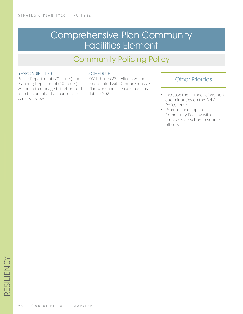# Comprehensive Plan Community Facilities Element

# Community Policing Policy

#### **RESPONSIBILITIES**

Police Department (20 hours) and Planning Department (10 hours) will need to manage this effort and direct a consultant as part of the census review.

#### **SCHEDULE**

FY21 thru FY22 – Efforts will be coordinated with Comprehensive Plan work and release of census data in 2022.

- Increase the number of women and minorities on the Bel Air Police force.
- Promote and expand Community Policing with emphasis on school resource officers.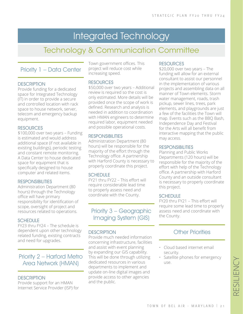# Integrated Technology

# Technology & Communication Committee

### Priority 1 – Data Center

#### **DESCRIPTION**

Provide funding for a dedicated space for Integrated Technology (IT) in order to provide a secure and controlled location with rack space to house network, server, telecom and emergency backup equipment.

#### **RESOURCES**

\$100,000 over two years – Funding is estimated and would address additional space (if not available in existing buildings), periodic testing and constant remote monitoring. A Data Center to house dedicated space for equipment that is specifically designed to house computer and related items.

#### **RESPONSIBILITIES**

Administration Department (80 hours) through the Technology office will have primary responsibility for identification of scope, oversight of project and resources related to operations.

#### **SCHEDULE**

FY23 thru FY24 – The schedule is dependent upon other technology related funding, existing contracts and need for upgrades.

Priority 2 – Harford Metro Area Network (HMAN)

#### **DESCRIPTION**

Provide support for an HMAN Internet Service Provider (ISP) for Town government offices. This project will reduce cost while increasing speed.

#### RESOURCES

\$50,000 over two years – Additional review is required so the cost is only estimated. More details will be provided once the scope of work is defined. Research and analysis is needed in addition to coordination with HMAN engineers to determine required labor, equipment needed and possible operational costs.

#### RESPONSIBILITIES

Administration Department (80 hours) will be responsible for the majority of the effort through the Technology office. A partnership with Harford County is necessary to properly coordinate this project.

#### SCHEDULE

FY21 thru FY22 – This effort will require considerable lead time to properly assess need and coordinate with the County.

Priority 3 – Geographic Imaging System (GIS)

#### **DESCRIPTION**

Provide much needed information concerning infrastructure, facilities and assist with event planning by expanding our GIS capability. This will be done through utilizing dedicated resources in various departments to implement and update on-line digital images and provide access to other agencies and the public.

#### **RESOURCES**

\$20,000 over two years – The funding will allow for an external consultant to assist our personnel in the implementation of various projects and assembling data on all manner of Town elements. Storm water management, roads, trash pickup, sewer lines, trees, park elements, and playgrounds are just a few of the facilities the Town will map. Events such as the BBQ Bash, Independence Day and Festival for the Arts will all benefit from interactive mapping that the public may access.

#### **RESPONSIBILITIES**

Planning and Public Works Departments (120 hours) will be responsible for the majority of the effort with help of the Technology office. A partnership with Harford County and an outside consultant is necessary to properly coordinate this project.

#### **SCHEDULE**

FY20 thru FY21 – This effort will require some lead time to properly assess need and coordinate with the County.

- Cloud based internet email security.
- Satellite phones for emergency use.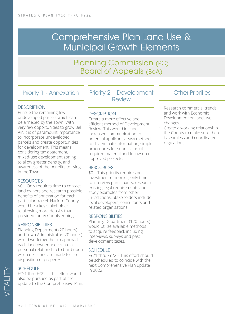# Comprehensive Plan Land Use & Municipal Growth Elements

Planning Commission (PC) Board of Appeals (BoA)

Priority 1 - Annexation

#### **DESCRIPTION**

Pursue the remaining few undeveloped parcels which can be annexed by the Town. With very few opportunities to grow Bel Air, it is of paramount importance to incorporate undeveloped parcels and create opportunities for development. This means considering tax abatement, mixed-use development zoning to allow greater density, and awareness of the benefits to living in the Town.

#### **RESOURCES**

\$0 – Only requires time to contact land owners and research possible benefits of annexation for each particular parcel. Harford County would be a key stakeholder to allowing more density than provided for by County zoning.

#### **RESPONSIBILITIES**

Planning Department (20 hours) and Town Administrator (20 hours) would work together to approach each land owner and create a personal relationship to build upon when decisions are made for the disposition of property.

#### **SCHEDULE**

FY21 thru FY22 – This effort would also be pursued as part of the update to the Comprehensive Plan. Priority 2 – Development Review

#### **DESCRIPTION**

Create a more effective and efficient method of Development Review. This would include increased communication to potential applicants, easy methods to disseminate information, simple procedures for submission of required material and follow-up of approved projects.

#### **RESOURCES**

\$0 – This priority requires no investment of monies, only time to interview participants, research existing legal requirements and study examples from other jurisdictions. Stakeholders include local developers, consultants and related organizations.

#### **RESPONSIBILITIES**

Planning Department (120 hours) would utilize available methods to acquire feedback including interviews, surveys and past development cases.

#### SCHEDULE

FY21 thru FY22 – This effort should be scheduled to coincide with the next Comprehensive Plan update in 2022.

- Research commercial trends and work with Economic Development on land use changes.
- Create a working relationship the County to make sure there is seamless and coordinated regulations.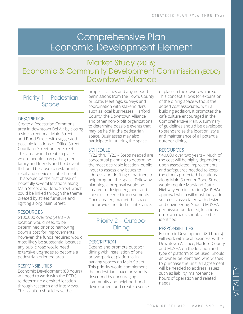# Comprehensive Plan Economic Development Element

# Market Study (2016) Economic & Community Development Commission (ECDC) Downtown Alliance

Priority 1 – Pedestrian Space

#### **DESCRIPTION**

Create a Pedestrian Commons area in downtown Bel Air by closing a side street near Main Street and Bond Street with suggested possible locations of Office Street, Courtland Street or Lee Street. This area would create a place where people may gather, meet family and friends and hold events. It should be close to restaurants, retail and service establishments. This would be the first phase of hopefully several locations along Main Street and Bond Street which could be linked through the theme created by street furniture and lighting along Main Street.

#### RESOURCES

\$100,000 over two years – A location would need to be determined prior to narrowing down a cost for improvements; however, the funds required would most likely be substantial because any public road would need extensive upgrades to become a pedestrian oriented area.

#### **RESPONSIBILITIES**

Economic Development (80 hours) will need to work with the ECDC to determine a desired location through research and interviews. This location should have the

proper facilities and any needed permissions from the Town, County or State. Meetings, surveys and coordination with stakeholders such as local businesses, Harford County, the Downtown Alliance and other non-profit organizations to determine possible events that may be held in the pedestrian space. Businesses may also participate in utilizing the space.

#### SCHEDULE

FY22 thru FY23 – Steps needed are conceptual planning to determine the most desirable location, public input to assess any issues to address and drafting of partners to help program the space. Following planning, a proposal would be created to design, engineer and construct needed improvements. Once created, market the space and provide needed maintenance.

### Priority 2 – Outdoor **Dining**

#### **DESCRIPTION**

Expand and promote outdoor dining with installation of one or two 'parklet platforms' in parking spaces on Main Street. This priority would complement the pedestrian space previously described by encouraging community and neighborhood development and create a sense of place in the downtown area. This concept allows for expansion of the dining space without the added cost associated with a building addition. It promotes the café culture encouraged in the Comprehensive Plan. A summary of guidelines should be developed to standardize the location, style and maintenance of all potential outdoor dining.

#### **RESOURCES**

\$40,000 over two years – Much of the cost will be highly dependent upon associated improvements and safeguards needed to keep the diners protected. Locations along Main Street or Bond Street would require Maryland State Highway Administration (MdSHA) approval which will most likely add soft costs associated with design and engineering. Should MdSHA permission be denied, locations on Town roads should also be identified.

#### RESPONSIBILITIES

Economic Development (80 hours) will work with local businesses, the Downtown Alliance, Harford County and MdSHA on the location and type of platform to be used. Should an owner be identified who wishes to purchase the unit, an agreement will be needed to address issues such as liability, maintenance, hours of operation and related needs.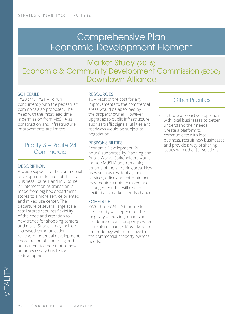# Comprehensive Plan Economic Development Element

# Market Study (2016) Economic & Community Development Commission (ECDC) Downtown Alliance

#### **SCHEDULE**

FY20 thru FY21 – To run concurrently with the pedestrian commons also proposed. The need with the most lead time is permission from MdSHA as construction and infrastructure improvements are limited.

### Priority 3 – Route 24 **Commercial**

#### **DESCRIPTION**

Provide support to the commercial developments located at the US Business Route 1 and MD Route 24 intersection as transition is made from big box department stores to a more service oriented and mixed use center. The departure of several large scale retail stores requires flexibility of the code and attention to new trends for shopping centers and malls. Support may include increased communication, reviews of potential development, coordination of marketing and adjustment to code that removes an unnecessary hurdle for redevelopment.

#### **RESOURCES**

\$0 – Most of the cost for any improvements to the commercial areas would be absorbed by the property owner. However, upgrades to public infrastructure such as traffic signals, utilities and roadways would be subject to negotiation.

#### **RESPONSIBILITIES**

Economic Development (20 hours) supported by Planning and Public Works. Stakeholders would include MdSHA and remaining tenants of the shopping area. New uses such as residential, medical services, office and entertainment may require a unique mixed-use arrangement that will require flexibility as market trends change.

#### SCHEDULE

FY20 thru FY24 – A timeline for this priority will depend on the longevity of existing tenants and the desire of each property owner to institute change. Most likely the methodology will be reactive to the commercial property owner's needs.

- Institute a proactive approach with local businesses to better understand their needs.
- Create a platform to communicate with local business, recruit new businesses and provide a way of sharing issues with other jurisdictions.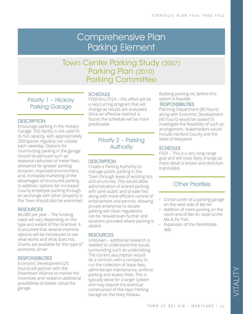# Comprehensive Plan Parking Element

# Town Center Parking Study (2007) Parking Plan (2010) Parking Committee

Priority 1 – Hickory Parking Garage

#### **DESCRIPTION**

Encourage parking in the Hickory Garage. This facility is not used to its full capacity, with approximately 200 spaces regularly not utilized each weekday. Options for incentivizing parking in the garage should be persued such as: seasonal reduction of meter fees; allowance for greater parking duration; improved environment; and, increased marketing of the advantages of structured parking. In addition, options for increased County employee parking through an exchange with other property in the Town should also be examined.

#### **RESOURCES**

\$6,000 per year – The funding need will vary depending on the type and extent of the incentive. It is assumed that several incentive options will be introduced to see what works and what does not. Grants are available for this type of economic driver.

#### RESPONSIBILITIES

Economic Development (20 hours) will partner with the Downtown Alliance to market the incentives and research additional possibilities to better utilize the garage.

#### **SCHEDULE**

FY20 thru FY24 – this effort will be a reoccurring program that will change as results are evaluated. Once an effective method is found, the schedule will be more predictable.

### Priority 2 – Parking **Authority**

#### **DESCRIPTION**

Create a Parking Authority to manage public parking in the Town through lease of existing lots and structures. This would allow administration of shared parking with semi-public and private lots along with more efficient control of enforcement and permits. Allowing private enterprise to dictate parking will mean regulations can be relaxed even further and locations provided where parking is absent.

#### RESOURCES

Unknown – additional research is needed to understand the issues surrounding such an undertaking. The current assumption would be a contract with a company to run the collection of lease fees, administrate maintenance, enforce parking and assess fines. This is typically done for a larger system and may require the eventual construction of the Hays Parking Garage on the Mary Risteau

Building parking lot, before this option is feasible.

#### .RESPONSIBILITIES

Planning Department (80 hours) along with Economic Development (40 hours) would be tasked to investigate the feasibility of such an arrangement. Stakeholders would include Harford County and the State of Maryland.

#### **SCHEDULE**

FY24 – This is a very long range goal and will most likely change as more detail is known and direction is provided.

- Construction of a parking garage on the west side of Bel Air.
- Addition of more parking on the north end of Bel Air close to the Ma & Pa Trail.
- Expansion of the ParkMobile app.

VITALITY ATALITY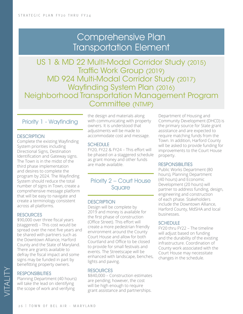# Comprehensive Plan Transportation Element

US 1 & MD 22 Multi-Modal Corridor Study (2015) Traffic Work Group (2019) MD 924 Multi-Modal Corridor Study (2017) Wayfinding System Plan (2016) Neighborhood Transportation Management Program Committee (NTMP)

#### Priority 1 - Wayfinding

#### **DESCRIPTION**

Complete the existing Wayfinding System priorities including Directional Signs, Destination Identification and Gateway signs. The Town is in the midst of the third phase implementation and desires to complete the program by 2024. The Wayfinding System should reduce the total number of signs in Town, create a comprehensive message platform that will be easy to navigate and create a terminology consistent across all platforms.

#### **RESOURCES**

\$90,000 over three fiscal years (staggered) – This cost would be spread over the next five years and be shared with partners such as the Downtown Alliance, Harford County and the State of Maryland. There are grants available to defray the fiscal impact and some signs may be funded in part by benefitting property owners.

#### **RESPONSIBILITIES**

VITALITY

Planning Department (40 hours) will take the lead on identifying the scope of work and verifying

the design and materials along with communicating with property owners. It is understood that adjustments will be made to accommodate cost and message.

#### SCHEDULE

FY20, FY22 & FY24 – This effort will be phased on a staggered schedule as grant money and other funds are made available.

### Priority 2 – Court House **Square**

#### **DESCRIPTION**

Design will be complete by 2019 and money is available for the first phase of construction (Office Street). This effort will create a more pedestrian friendly environment around the County Court House and allow for both Courtland and Office to be closed to provide for small festivals and events. The Streetscape will be enhanced with landscape, benches, lights and paving.

#### **RESOURCES**

\$840,000 – Construction estimates are pending; however, the cost will be high enough to require grant assistance and partnerships.

Department of Housing and Community Development (DHCD) is the primary source for State grant assistance and are expected to require matching funds from the Town. In addition, Harford County will be asked to provide funding for improvements to the Court House property.

#### **RESPONSIBILITIES**

Public Works Department (80 hours), Planning Department (40 hours) and Economic Development (20 hours) will partner to address funding, design, engineering and construction of each phase. Stakeholders include the Downtown Alliance, Harford County, MdSHA and local businesses.

#### **SCHEDULE**

FY20 thru FY22 – The timeline will adjust based on funding and the durability of the existing infrastructure. Coordination of County work associated with the Court House may necessitate changes in the schedule.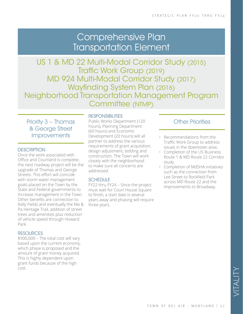# Comprehensive Plan Transportation Element

US 1 & MD 22 Multi-Modal Corridor Study (2015) Traffic Work Group (2019) MD 924 Multi-Modal Corridor Study (2017) Wayfinding System Plan (2016) Neighborhood Transportation Management Program Committee (NTMP)

### Priority 3 – Thomas & George Street **Improvements**

#### **DESCRIPTION**

Once the work associated with Office and Courtland is complete, the next roadway project will be the upgrade of Thomas and George Streets. This effort will coincide with storm water management goals placed on the Town by the State and Federal governments to increase management in the Town. Other benefits are connection to Kelly Fields and eventually the Ma & Pa Heritage Trail, addition of street trees and amenities plus reduction of vehicle speed through Howard Park.

#### **RESOURCES**

\$900,000 – The total cost will vary based upon the current economy, which phase is proposed and the amount of grant money acquired. This is highly dependent upon grant funds because of the high cost.

#### **RESPONSIBILITIES**

Public Works Department (120 hours), Planning Department (60 hours) and Economic Development (20 hours) will all partner to address the various requirements of grant acquisition, design adjustment, bidding and construction. The Town will work closely with the neighborhood to make sure all concerns are addressed.

#### **SCHEDULE**

FY22 thru FY24 – Since the project must wait for Court House Square to finish, a start date is several years away and phasing will require three years.

- Recommendations from the Traffic Work Group to address issues in the downtown area.
- Completion of the US Business Route 1 & MD Route 22 Corridor study.
- Completion of MdSHA initiatives such as the connection from Lee Street to Rockfield Park across MD Route 22 and the Improvements to Broadway.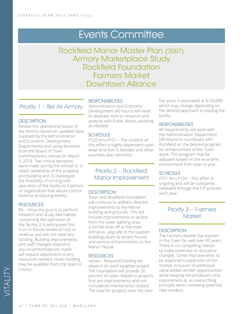# Events Committee

Rockfield Manor Master Plan (2007) Armory Marketplace Study Rockfield Foundation Farmers Market Downtown Alliance

### Priority 1 – Bel Air Armory

#### **DESCRIPTION**

Review the operational status of the Armory based on updated data supplied by the Administration and Economic Development Departments and using decisions from the Board of Town Commissioners retreat on March 3, 2018. Two critical decisions were made during the retreat to 1) retain ownership of the property and building and 2) investigate the feasibility of turning over operation of the facility to a person or organization that would control revenue producing events.

#### **RESOURCES**

\$0 – Since the goal is to perform research and study alternatives concerning the operation of the facility, it is anticipated this is an in-house review of cost vs revenue and will not need any funding. Building improvements and staff changes related to any recommendations made will require adjustment to any resources needed. Grant funding may be available from the State or County.

#### RESPONSIBILITIES

Administration and Economic Development (40 hours) will need to dedicate time to research and analysis with Public Works assisting as needed.

#### **SCHEDULE**

FY20 thru FY21 – The timeline of this effort is highly dependent upon what direction is decided and other priorities also identified.

Priority 2 – Rockfield Manor Improvement

#### **DESCRIPTION**

Town and Rockfield Foundation will continue to address desired improvements to the Manor building and grounds. This will include improvements to access from the lower parking area, a formal drop-off at the main entrance, upgrade of the support buildings (barn & tenant house) and various enhancements to the Manor House.

#### **RESOURCES**

Varies – Required funding will depend on each targeted project. The Foundation will provide 50 percent of costs related to projects that are improvements and not considered maintenance related. The total for projects over the next

five years is estimated at \$143,000 which may change depending on the desired approach to leasing the facility.

#### **RESPONSIBILITIES**

All Departments will work with the Administration Department (40 hours) to coordinate with Rockfield on the desired program for enhancement of the Town asset. This program may be adjusted based on the economic environment from year to year.

#### **SCHEDULE**

FY21 thru FY24 – This effort is ongoing and will be constantly reviewed through the CIP process each year.

#### Priority 3 – Farmers **Market**

#### **DESCRIPTION**

The Farmers Market has existed in the Town for well over 40 years. There is no compelling reason to make extensive or disruptive changes. Some improvements to be explored is expansion of the market, inclusion of additional value added vendor opportunities while keeping the producers only requirement as an overarching principle when reviewing potential new vendors.

VITALITY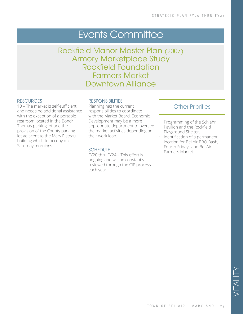# Events Committee

Rockfield Manor Master Plan (2007) Armory Marketplace Study Rockfield Foundation Farmers Market Downtown Alliance

#### **RESOURCES**

\$0 – The market is self-sufficient and needs no additional assistance with the exception of a portable restroom located in the Bond/ Thomas parking lot and the provision of the County parking lot adjacent to the Mary Risteau building which to occupy on Saturday mornings.

#### **RESPONSIBILITIES**

Planning has the current responsibilities to coordinate with the Market Board. Economic Development may be a more appropriate department to oversee the market activities depending on their work load.

#### **SCHEDULE**

FY20 thru FY24 – This effort is ongoing and will be constantly reviewed through the CIP process each year.

- Programming of the Schlehr Pavilion and the Rockfield Playground Shelter.
- Identification of a permanent location for Bel Air BBQ Bash, Fourth Fridays and Bel Air Farmers Market.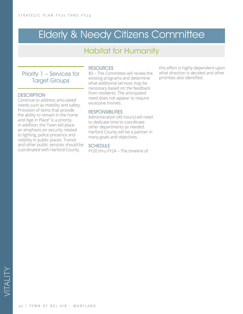# **Elderly & Needy Citizens Committee**

# Habitat for Humanity

### Priority 1 – Services for Target Groups

#### **DESCRIPTION**

Continue to address articulated needs such as mobility and safety. Provision of items that provide the ability to remain in the home and 'Age in Place" is a priority. In addition, the Town will place an emphasis on security related to lighting, police presence and visibility in public places. Transit and other public services should be coordinated with Harford County.

#### **RESOURCES**

\$0 – The Committee will review the existing programs and determine what additional services may be necessary based on the feedback from residents. The anticipated need does not appear to require excessive monies.

#### RESPONSIBILITIES

Administration (40 hours) will need to dedicate time to coordinate other departments as needed. Harford County will be a partner in many goals and objectives.

#### **SCHEDULE**

FY20 thru FY24 – The timeline of

this effort is highly dependent upon what direction is decided and other priorities also identified.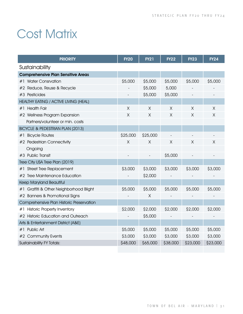# **Cost Matrix**

| <b>PRIORITY</b>                            | <b>FY20</b> | <b>FY21</b> | <b>FY22</b> | <b>FY23</b> | <b>FY24</b>    |
|--------------------------------------------|-------------|-------------|-------------|-------------|----------------|
| Sustainability                             |             |             |             |             |                |
| <b>Comprehensive Plan Sensitive Areas</b>  |             |             |             |             |                |
| #1 Water Consrvation                       | \$5,000     | \$5,000     | \$5,000     | \$5,000     | \$5,000        |
| #2 Reduce, Reuse & Recycle                 |             | \$5,000     | 5,000       |             |                |
| #3 Pesticides                              |             | \$5,000     | \$5,000     |             |                |
| HEALTHY EATING / ACTIVE LIVING (HEAL)      |             |             |             |             |                |
| <b>Health Fair</b><br>#1                   | $\times$    | $\times$    | $\sf X$     | $\times$    | $\overline{X}$ |
| #2 Wellness Program Expansion              | X           | X           | X           | X           | X              |
| Partners/volunteer or min. costs           |             |             |             |             |                |
| BICYCLE & PEDESTRIAN PLAN (2013)           |             |             |             |             |                |
| #1 Bicycle Routes                          | \$25,000    | \$25,000    |             |             |                |
| #2 Pedestrian Connectivity                 | X           | $\times$    | X           | X           | X              |
| Ongoing                                    |             |             |             |             |                |
| #3 Public Transit                          |             |             | \$5,000     |             |                |
| Tree City USA Tree Plan (2019)             |             |             |             |             |                |
| <b>Street Tree Replacement</b><br>#1       | \$3,000     | \$3,000     | \$3,000     | \$3,000     | \$3,000        |
| #2 Tree Maintenance Education              |             | \$2,000     |             |             |                |
| Keep Maryland Beautiful                    |             |             |             |             |                |
| Graffiti & Other Neighborhood Blight<br>#1 | \$5,000     | \$5,000     | \$5,000     | \$5,000     | \$5,000        |
| #2 Banners & Promotional Signs             |             | X           |             |             |                |
| Comprehensive Plan Historic Preservation   |             |             |             |             |                |
| <b>Historic Property Inventory</b><br>#1   | \$2,000     | \$2,000     | \$2,000     | \$2,000     | \$2,000        |
| #2 Historic Education and Outreach         |             | \$5,000     |             |             |                |
| Arts & Entertainment District (A&E)        |             |             |             |             |                |
| #1 Public Art                              | \$5,000     | \$5,000     | \$5,000     | \$5,000     | \$5,000        |
| #2 Community Events                        | \$3,000     | \$3,000     | \$3,000     | \$3,000     | \$3,000        |
| <b>Sustainability FY Totals:</b>           | \$48,000    | \$65,000    | \$38,000    | \$23,000    | \$23,000       |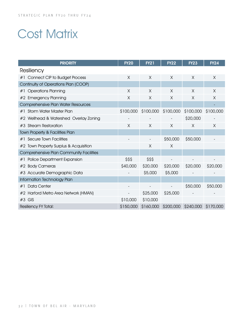# Cost Matrix

| <b>PRIORITY</b>                            | <b>FY20</b> | <b>FY21</b> | <b>FY22</b> | <b>FY23</b> | <b>FY24</b> |
|--------------------------------------------|-------------|-------------|-------------|-------------|-------------|
| Resiliency                                 |             |             |             |             |             |
| <b>Connect CIP to Budget Process</b><br>#1 | X           | X           | X           | X           | X           |
| Continuity of Operations Plan (COOP)       |             |             |             |             |             |
| <b>Operations Planning</b><br>#1           | $\times$    | X           | X           | X           | X           |
| #2 Emergency Planning                      | $\times$    | X           | X           | X           | X           |
| Comprehensive Plan Water Resources         |             |             |             |             |             |
| Storm Water Master Plan<br>#1              | \$100,000   | \$100,000   | \$100,000   | \$100,000   | \$100,000   |
| #2 Wellhead & Watershed Overlay Zoning     |             |             |             | \$20,000    |             |
| #3 Stream Restoration                      | $\times$    | X           | X           | X           | X           |
| Town Property & Facilities Plan            |             |             |             |             |             |
| Secure Town Facilities<br>#1               |             |             | \$50,000    | \$50,000    |             |
| #2 Town Property Surplus & Acquisition     |             | $\times$    | $\times$    |             |             |
| Comprehensive Plan Community Facilities    |             |             |             |             |             |
| Police Department Expansion<br>#1          | \$\$\$      | \$\$\$      |             |             |             |
| #2 Body Cameras                            | \$40,000    | \$20,000    | \$20,000    | \$20,000    | \$20,000    |
| #3 Accurate Demographic Data               |             | \$5,000     | \$5,000     |             |             |
| Information Technology Plan                |             |             |             |             |             |
| Data Center<br>#1                          |             |             |             | \$50,000    | \$50,000    |
| #2 Harford Metro Area Network (HMAN)       |             | \$25,000    | \$25,000    |             |             |
| $#3$ GIS                                   | \$10,000    | \$10,000    |             |             |             |
| Resiliency FY Total:                       | \$150,000   | \$160,000   | \$200,000   | \$240,000   | \$170,000   |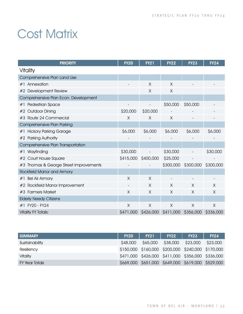# **Cost Matrix**

| <b>PRIORITY</b>                        | <b>FY20</b> | <b>FY21</b> | <b>FY22</b> | <b>FY23</b> | <b>FY24</b> |
|----------------------------------------|-------------|-------------|-------------|-------------|-------------|
| Vitality                               |             |             |             |             |             |
| Comprehensive Plan Land Use            |             |             |             |             |             |
| Annexation<br>#1                       |             | X           | $\times$    |             |             |
| #2 Development Review                  |             | X           | X           |             |             |
| Comprehensive Plan Econ. Development   |             |             |             |             |             |
| Pedestrian Space<br>#1                 |             |             | \$50,000    | \$50,000    |             |
| #2 Outdoor Dining                      | \$20,000    | \$20,000    |             |             |             |
| #3 Route 24 Commercial                 | X           | X           | X           |             |             |
| Comprehensive Plan Parking             |             |             |             |             |             |
| <b>Hickory Parking Garage</b><br>#1    | \$6,000     | \$6,000     | \$6,000     | \$6,000     | \$6,000     |
| #2 Parking Authority                   |             |             |             |             |             |
| Comprehensive Plan Transportation      |             |             |             |             |             |
| Wayfinding<br>#1                       | \$30,000    |             | \$30,000    |             | \$30,000    |
| Court House Square<br>#2               | \$415,000   | \$400,000   | \$25,000    |             |             |
| #3 Thomas & George Street Improvements |             |             | \$300,000   | \$300,000   | \$300,000   |
| <b>Rockfield Manor and Armory</b>      |             |             |             |             |             |
| <b>Bel Air Armory</b><br>#1            | Χ           | X           |             |             |             |
| Rockfield Manor Improvement<br>#2      |             | X           | X           | X           | X           |
| #3 Farmers Market                      | X           | X           | X           | X           | X           |
| <b>Elderly Needy Citizens</b>          |             |             |             |             |             |
| #1 FY20 - FY24                         | Χ           | Χ           | X           | X           | X           |
| <b>Vitality FY Totals:</b>             | \$471,000   | \$426,000   | \$411,000   | \$356,000   | \$336,000   |

| <b>SUMMARY</b> | <b>FY20</b> | <b>FY21</b>                                       | <b>FY22</b> | <b>FY23</b> | <b>FY24</b> |
|----------------|-------------|---------------------------------------------------|-------------|-------------|-------------|
| Sustainability | \$48,000    | \$65,000                                          | \$38,000    | \$23,000    | \$23,000    |
| Resiliency     |             | \$150,000 \$160,000 \$200,000 \$240,000 \$170,000 |             |             |             |
| Vitality       |             | \$471,000 \$426,000 \$411,000 \$356,000 \$336,000 |             |             |             |
| FY Year Totals |             | \$669,000 \$651,000 \$649,000 \$619,000 \$529,000 |             |             |             |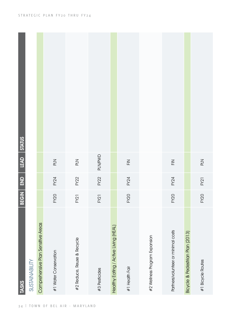| <b>TASKS</b>                          | BEGIN       | END         | LEAD STATUS                                                                                                                                                                                                                                                                                                                                                                                                                                                                                                                                                                                                                                                                                                                                               |  |
|---------------------------------------|-------------|-------------|-----------------------------------------------------------------------------------------------------------------------------------------------------------------------------------------------------------------------------------------------------------------------------------------------------------------------------------------------------------------------------------------------------------------------------------------------------------------------------------------------------------------------------------------------------------------------------------------------------------------------------------------------------------------------------------------------------------------------------------------------------------|--|
| SUSTAINABILITY                        |             |             |                                                                                                                                                                                                                                                                                                                                                                                                                                                                                                                                                                                                                                                                                                                                                           |  |
| Comprehensive Plan Sensitive Areas    |             |             |                                                                                                                                                                                                                                                                                                                                                                                                                                                                                                                                                                                                                                                                                                                                                           |  |
| #1 Water Conservation                 | <b>FY20</b> | FY24        | PLN                                                                                                                                                                                                                                                                                                                                                                                                                                                                                                                                                                                                                                                                                                                                                       |  |
| #2 Reduce, Reuse & Recycle            | <b>FY21</b> | FY22        | PLN                                                                                                                                                                                                                                                                                                                                                                                                                                                                                                                                                                                                                                                                                                                                                       |  |
| #3 Pesticides                         | FY21        | <b>FY22</b> | <b>PLN/PWD</b>                                                                                                                                                                                                                                                                                                                                                                                                                                                                                                                                                                                                                                                                                                                                            |  |
| Healthy Eating / Active Living (HEAL) |             |             |                                                                                                                                                                                                                                                                                                                                                                                                                                                                                                                                                                                                                                                                                                                                                           |  |
| #1 Health Fair                        | <b>FY20</b> | FY24        | $\mathop{\underline{\mathop{\widetilde{\mathop{\scriptstyle\mathop{\scriptstyle\mathop{\scriptstyle\mathop{\scriptstyle\mathop{\scriptstyle\mathop{\scriptstyle\mathop{\scriptstyle\mathop{\scriptstyle\mathop{\scriptstyle\mathop{\scriptstyle\mathop{\scriptstyle\mathop{\scriptstyle\mathop{\scriptstyle\mathop{\scriptstyle\mathop{\scriptstyle\mathop{\scriptstyle\mathop{\scriptstyle\mathop{\scriptstyle\mathop{\scriptstyle\mathop{\scriptstyle\mathop{\scriptstyle\mathop{\scriptstyle\mathop{\scriptstyle\mathop{\scriptstyle\mathop{\scriptstyle\mathop{\scriptstyle\mathop{\scriptstyle\mathop{\scriptstyle\mathop{\scriptstyle\mathop{\scriptstyle\mathop{\scriptstyle\mathop{\scriptstyle\mathop{\scriptstyle\mathop{\scriptstyle\mathop{\$ |  |
| #2 Wellness Program Expansion         |             |             |                                                                                                                                                                                                                                                                                                                                                                                                                                                                                                                                                                                                                                                                                                                                                           |  |
| Partners/volunteer or minimal costs   | FY20        | FY24        | $\mathop{\underline{\mathop{\mathbb{E}}}}$                                                                                                                                                                                                                                                                                                                                                                                                                                                                                                                                                                                                                                                                                                                |  |
| Bicycle & Pedestrian Plan (2013)      |             |             |                                                                                                                                                                                                                                                                                                                                                                                                                                                                                                                                                                                                                                                                                                                                                           |  |
| #1 Bicycle Routes                     | <b>FY20</b> | FY21        | PLN                                                                                                                                                                                                                                                                                                                                                                                                                                                                                                                                                                                                                                                                                                                                                       |  |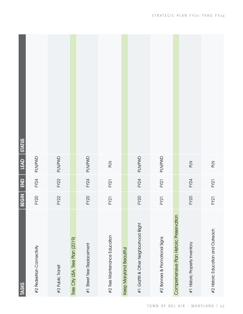| <b>TASKS</b>                             | BEGIN       | $\boxed{\underline{\mathsf{S}}}$ | LEAD           | <b>STATUS</b> |
|------------------------------------------|-------------|----------------------------------|----------------|---------------|
| #2 Pedestrian Connectivity               | <b>FY20</b> | FY24                             | PLN/PWD        |               |
| #3 Public Transit                        | <b>FY22</b> | <b>FY22</b>                      | PLN/PWD        |               |
| Tree City USA, Tree Plan (2019)          |             |                                  |                |               |
| #1 Street Tree Replacement               | <b>FY20</b> | FY24                             | PLN/PWD        |               |
| #2 Tree Maintenance Education            | <b>FY21</b> | FY21                             | PLN            |               |
| Keep Maryland Beautiful                  |             |                                  |                |               |
| #1 Graffiti & Other Neighborhood Blight  | <b>FY20</b> | FY24                             | <b>PLN/PWD</b> |               |
| #2 Banners & Promotional Signs           | FY21        | FY21                             | <b>PLN/PWD</b> |               |
| Comprehensive Plan Historic Preservation |             |                                  |                |               |
| #1 Historic Property Inventory           | <b>FY20</b> | FY24                             | PLN            |               |
| #2 Historic Education and Outreach       | FY21        | FY21                             | PLN            |               |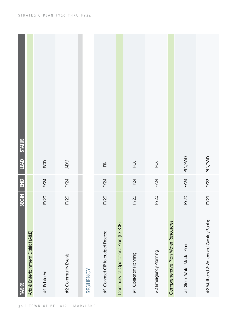| <b>TASKS</b>                           | BEGIN       | END         | LEAD STATUS             |  |
|----------------------------------------|-------------|-------------|-------------------------|--|
| Arts & Entertainment District (A&E)    |             |             |                         |  |
| #1 Public Art                          | <b>FY20</b> | FY24        | ECD                     |  |
| #2 Community Events                    | <b>FY20</b> | FY24        | ADM                     |  |
| RESILIENCY                             |             |             |                         |  |
| #1 Connect CIP to budget Process       | <b>FY20</b> | FY24        | $\overline{\mathbb{H}}$ |  |
| Continuity of Operations Plan (COOP)   |             |             |                         |  |
| #1 Operation Planning                  | <b>FY20</b> | FY24        | $\overrightarrow{C}$    |  |
| #2 Emergency Planning                  | <b>FY20</b> | FY24        | $\overline{Q}$          |  |
| Comprehensive Plan Water Resources     |             |             |                         |  |
| #1 Storm Water Master Plan             | <b>FY20</b> | <b>FY24</b> | <b>PLN/PWD</b>          |  |
| #2 Wellhead & Watershed Overlay Zoning | FY23        | FY23        | PLN/PWD                 |  |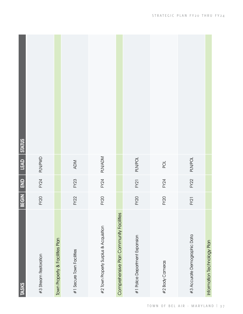| <b>TASKS</b>                            | <b>BEGIN</b> | $\frac{1}{2}$ | $L$ EAD              | STATUS |
|-----------------------------------------|--------------|---------------|----------------------|--------|
| #3 Stream Restoration                   | <b>FY20</b>  | FY24          | <b>PLN/PWD</b>       |        |
| Town Property & Facilities Plan         |              |               |                      |        |
| #1 Secure Town Facilities               | FY22         | FY23          | <b>ADM</b>           |        |
| #2 Town Property Surplus & Acquisition  | <b>FY20</b>  | FY24          | <b>PLN/ADM</b>       |        |
| Comprehensive Plan Community Facilities |              |               |                      |        |
| #1 Police Department Expansion          | <b>FY20</b>  | FY21          | <b>PLN/POL</b>       |        |
| #2 Body Cameras                         | <b>FY20</b>  | FY24          | $\overrightarrow{Q}$ |        |
| #3 Accurate Demographic Data            | <b>FY21</b>  | FY22          | PLN/POL              |        |
| Information Technology Plan             |              |               |                      |        |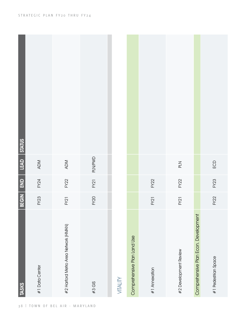| <b>TASKS</b>                         | <b>BEGIN</b> | END         | LEAD STATUS |  |
|--------------------------------------|--------------|-------------|-------------|--|
| #1 Data Center                       | FY23         | FY24        | <b>ADM</b>  |  |
| #2 Harford Metro Area Network (HMAN) | FY21         | FY22        | ADM         |  |
| $#3$ GIS                             | <b>FY20</b>  | FY21        | PLN/PWD     |  |
| VITALITY                             |              |             |             |  |
| Comprehensive Plan Land Use          |              |             |             |  |
| #1 Annexation                        | <b>FY21</b>  | FY22        |             |  |
| #2 Development Review                | <b>FY21</b>  | FY22        | PLN         |  |
| Comprehensive Plan Econ. Development |              |             |             |  |
| #1 Pedestrian Space                  | FY22         | <b>FY23</b> | ECD         |  |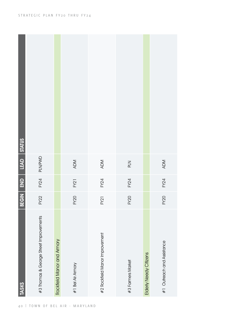| <b>TASKS</b>                           | BEGIN       | END         | LEAD STATUS  |  |
|----------------------------------------|-------------|-------------|--------------|--|
| #3 Thomas & George Street Improvements | FY22        |             | FY24 PLN/PWD |  |
| Rockfield Manor and Armory             |             |             |              |  |
| #1 Bel Air Armory                      | FY20        | <b>FY21</b> | ADM          |  |
| #2 Rockfield Manor Improvement         | FY21        | FY24        | ADM          |  |
| #3 Farmers Market                      | <b>FY20</b> | FY24        | PLN          |  |
| Elderly Needy Citizens                 |             |             |              |  |
| #1 Outreach and Assistance             | FY20        | FY24        | ADM          |  |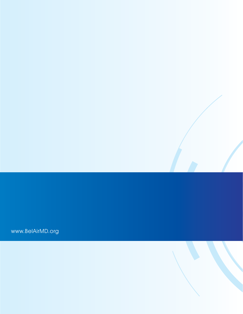www.BelAirMD.org

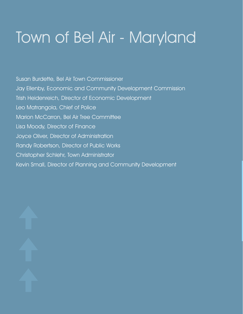# Town of Bel Air - Maryland

Susan Burdette, Bel Air Town Commissioner Jay Ellenby, Economic and Community Development Commission Trish Heidenreich, Director of Economic Development Leo Matrangola, Chief of Police Marion McCarron, Bel Air Tree Committee Lisa Moody, Director of Finance Joyce Oliver, Director of Administration Randy Robertson, Director of Public Works Christopher Schlehr, Town Administrator Kevin Small, Director of Planning and Community Development